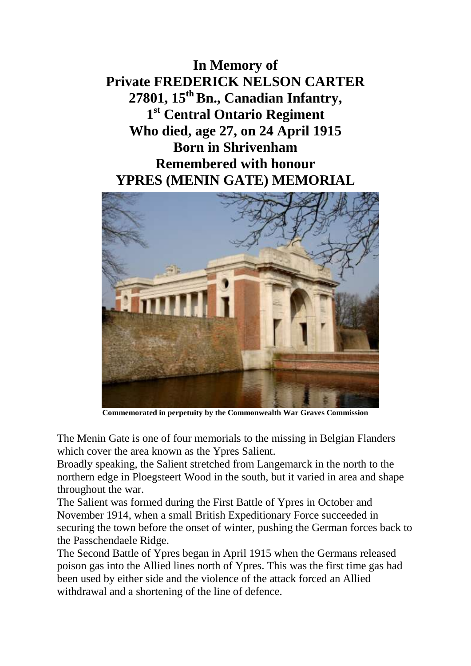**In Memory of Private FREDERICK NELSON CARTER 27801, 15th Bn., Canadian Infantry, 1 st Central Ontario Regiment Who died, age 27, on 24 April 1915 Born in Shrivenham Remembered with honour YPRES (MENIN GATE) MEMORIAL**



**Commemorated in perpetuity by the Commonwealth War Graves Commission** 

The Menin Gate is one of four memorials to the missing in Belgian Flanders which cover the area known as the Ypres Salient.

Broadly speaking, the Salient stretched from Langemarck in the north to the northern edge in Ploegsteert Wood in the south, but it varied in area and shape throughout the war.

The Salient was formed during the First Battle of Ypres in October and November 1914, when a small British Expeditionary Force succeeded in securing the town before the onset of winter, pushing the German forces back to the Passchendaele Ridge.

The Second Battle of Ypres began in April 1915 when the Germans released poison gas into the Allied lines north of Ypres. This was the first time gas had been used by either side and the violence of the attack forced an Allied withdrawal and a shortening of the line of defence.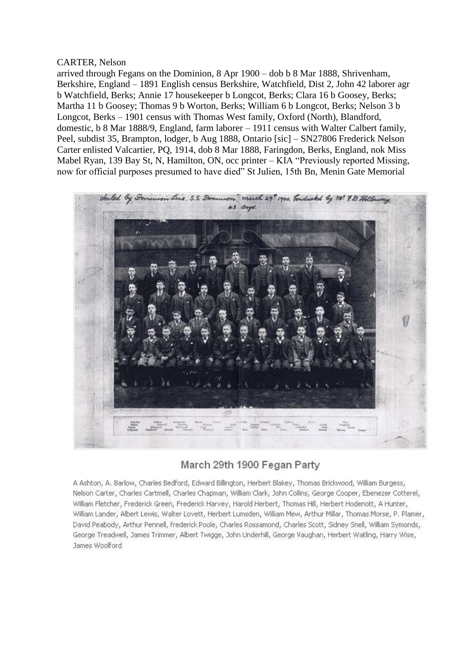## CARTER, Nelson

arrived through Fegans on the Dominion, 8 Apr 1900 – dob b 8 Mar 1888, Shrivenham, Berkshire, England – 1891 English census Berkshire, Watchfield, Dist 2, John 42 laborer agr b Watchfield, Berks; Annie 17 housekeeper b Longcot, Berks; Clara 16 b Goosey, Berks; Martha 11 b Goosey; Thomas 9 b Worton, Berks; William 6 b Longcot, Berks; Nelson 3 b Longcot, Berks – 1901 census with Thomas West family, Oxford (North), Blandford, domestic, b 8 Mar 1888/9, England, farm laborer – 1911 census with Walter Calbert family, Peel, subdist 35, Brampton, lodger, b Aug 1888, Ontario [sic] – SN27806 Frederick Nelson Carter enlisted Valcartier, PQ, 1914, dob 8 Mar 1888, Faringdon, Berks, England, nok Miss Mabel Ryan, 139 Bay St, N, Hamilton, ON, occ printer – KIA "Previously reported Missing, now for official purposes presumed to have died" St Julien, 15th Bn, Menin Gate Memorial



## March 29th 1900 Fegan Party

A Ashton, A. Barlow, Charles Bedford, Edward Billington, Herbert Blakey, Thomas Brickwood, William Burgess, Nelson Carter, Charles Cartmell, Charles Chapman, William Clark, John Collins, George Cooper, Ebenezer Cotterel, William Fletcher, Frederick Green, Frederick Harvey, Harold Herbert, Thomas Hill, Herbert Hodenott, A Hunter, William Lander, Albert Lewis, Walter Lovett, Herbert Lumsden, William Mew, Arthur Millar, Thomas Morse, P. Plamer, David Peabody, Arthur Pennell, frederick Poole, Charles Rossamond, Charles Scott, Sidney Snell, William Symonds, George Treadwell, James Trimmer, Albert Twigge, John Underhill, George Vaughan, Herbert Watling, Harry Wise, James Woolford